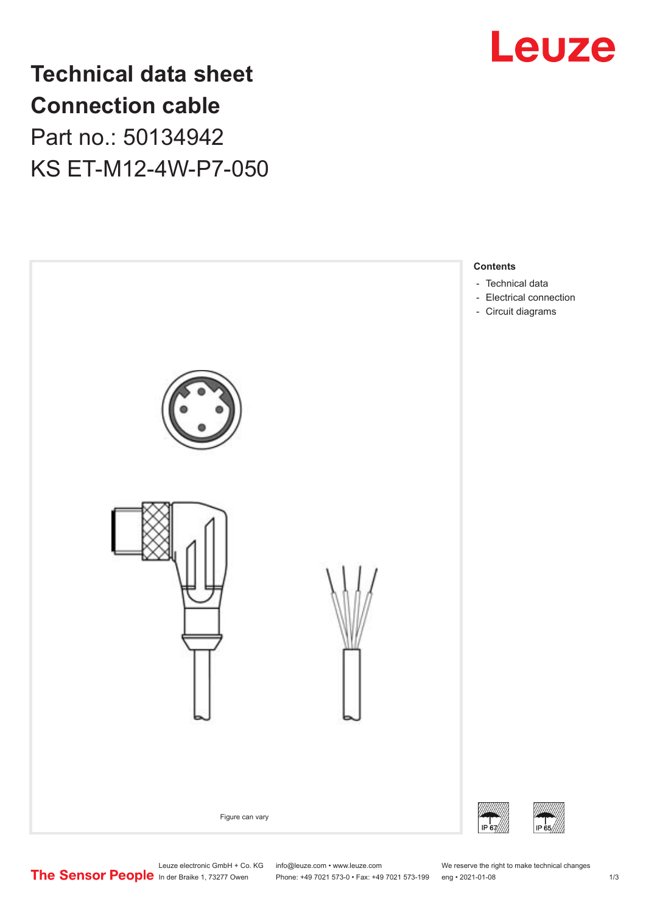

**Technical data sheet Connection cable** Part no.: 50134942 KS ET-M12-4W-P7-050



Leuze electronic GmbH + Co. KG info@leuze.com • www.leuze.com We reserve the right to make technical changes<br>
The Sensor People in der Braike 1, 73277 Owen Phone: +49 7021 573-0 • Fax: +49 7021 573-199 eng • 2021-01-08

Phone: +49 7021 573-0 • Fax: +49 7021 573-199 eng • 2021-01-08 1 2021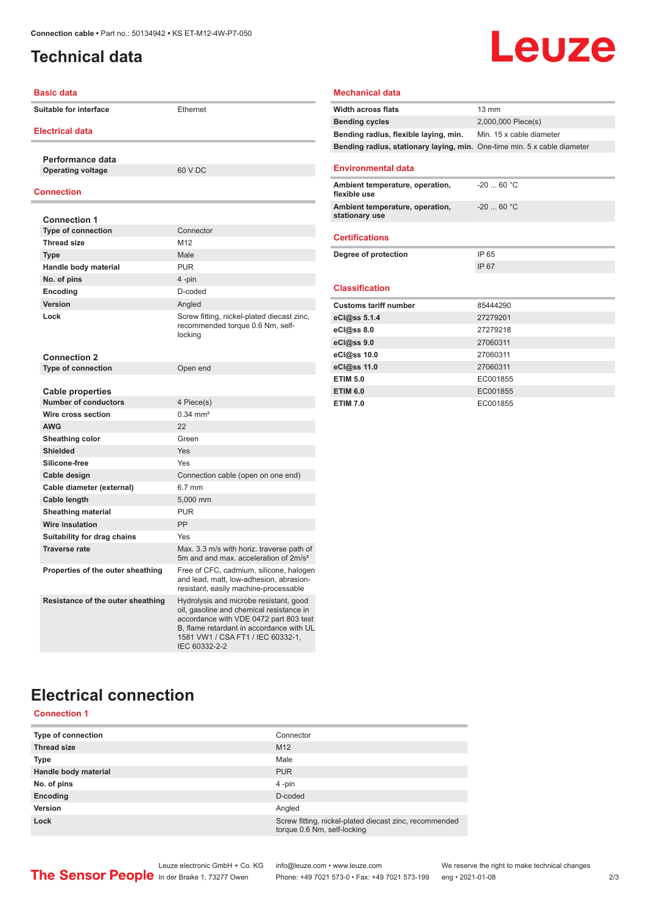## <span id="page-1-0"></span>**Technical data**

# Leuze

| <b>Basic data</b>      |                                                        |                                                                                                                                                                                                                                |                              |  |
|------------------------|--------------------------------------------------------|--------------------------------------------------------------------------------------------------------------------------------------------------------------------------------------------------------------------------------|------------------------------|--|
| Suitable for interface |                                                        | Ethernet                                                                                                                                                                                                                       | Width ac                     |  |
|                        |                                                        |                                                                                                                                                                                                                                | <b>Bending</b>               |  |
| <b>Electrical data</b> |                                                        |                                                                                                                                                                                                                                | <b>Bending</b>               |  |
|                        |                                                        |                                                                                                                                                                                                                                | <b>Bending</b>               |  |
|                        | Performance data                                       |                                                                                                                                                                                                                                |                              |  |
|                        | <b>Operating voltage</b>                               | 60 V DC                                                                                                                                                                                                                        | Environ                      |  |
| <b>Connection</b>      |                                                        |                                                                                                                                                                                                                                | <b>Ambient</b><br>flexible u |  |
|                        |                                                        |                                                                                                                                                                                                                                | <b>Ambient</b>               |  |
|                        | <b>Connection 1</b>                                    |                                                                                                                                                                                                                                | stationar                    |  |
|                        | <b>Type of connection</b>                              | Connector                                                                                                                                                                                                                      | Certific                     |  |
|                        | <b>Thread size</b>                                     | M12                                                                                                                                                                                                                            |                              |  |
|                        | <b>Type</b>                                            | Male                                                                                                                                                                                                                           | Degree c                     |  |
|                        | Handle body material                                   | <b>PUR</b>                                                                                                                                                                                                                     |                              |  |
|                        | No. of pins                                            | 4-pin                                                                                                                                                                                                                          |                              |  |
|                        | Encoding                                               | D-coded                                                                                                                                                                                                                        | <b>Classifi</b>              |  |
|                        | Version                                                | Angled                                                                                                                                                                                                                         | Customs                      |  |
|                        | Lock                                                   | Screw fitting, nickel-plated diecast zinc,<br>recommended torque 0.6 Nm, self-<br>locking                                                                                                                                      | eCl@ss<br>eCl@ss<br>eCl@ss ! |  |
|                        | <b>Connection 2</b>                                    |                                                                                                                                                                                                                                | eCl@ss                       |  |
|                        | <b>Type of connection</b>                              | Open end                                                                                                                                                                                                                       | eCl@ss                       |  |
|                        |                                                        |                                                                                                                                                                                                                                | <b>ETIM 5.0</b>              |  |
|                        | <b>Cable properties</b><br><b>Number of conductors</b> | 4 Piece(s)                                                                                                                                                                                                                     | <b>ETIM 6.0</b>              |  |
|                        | Wire cross section                                     | $0.34 \, \text{mm}^2$                                                                                                                                                                                                          | <b>ETIM 7.0</b>              |  |
|                        | <b>AWG</b>                                             | 22                                                                                                                                                                                                                             |                              |  |
|                        |                                                        |                                                                                                                                                                                                                                |                              |  |
|                        | Sheathing color                                        | Green                                                                                                                                                                                                                          |                              |  |
|                        | <b>Shielded</b>                                        | Yes                                                                                                                                                                                                                            |                              |  |
|                        | Silicone-free                                          | Yes                                                                                                                                                                                                                            |                              |  |
|                        | Cable design                                           | Connection cable (open on one end)                                                                                                                                                                                             |                              |  |
|                        | Cable diameter (external)                              | 6.7 mm                                                                                                                                                                                                                         |                              |  |
|                        | Cable length                                           | 5,000 mm                                                                                                                                                                                                                       |                              |  |
|                        | <b>Sheathing material</b>                              | <b>PUR</b>                                                                                                                                                                                                                     |                              |  |
|                        | <b>Wire insulation</b>                                 | <b>PP</b>                                                                                                                                                                                                                      |                              |  |
|                        | Suitability for drag chains                            | Yes                                                                                                                                                                                                                            |                              |  |
|                        | <b>Traverse rate</b>                                   | Max. 3.3 m/s with horiz. traverse path of<br>5m and and max. acceleration of 2m/s <sup>2</sup>                                                                                                                                 |                              |  |
|                        | Properties of the outer sheathing                      | Free of CFC, cadmium, silicone, halogen<br>and lead, matt, low-adhesion, abrasion-<br>resistant, easily machine-processable                                                                                                    |                              |  |
|                        | Resistance of the outer sheathing                      | Hydrolysis and microbe resistant, good<br>oil, gasoline and chemical resistance in<br>accordance with VDE 0472 part 803 test<br>B, flame retardant in accordance with UL<br>1581 VW1 / CSA FT1 / IEC 60332-1,<br>IEC 60332-2-2 |                              |  |

#### **Mechanical data**

| <b>Width across flats</b>                                                       | $13 \text{ mm}$          |
|---------------------------------------------------------------------------------|--------------------------|
| <b>Bending cycles</b>                                                           | 2,000,000 Piece(s)       |
| Bending radius, flexible laying, min.                                           | Min. 15 x cable diameter |
| <b>Bending radius, stationary laying, min.</b> One-time min. 5 x cable diameter |                          |
| <b>Environmental data</b>                                                       |                          |
| Ambient temperature, operation,<br>flexible use                                 | $-20$ 60 °C              |
| Ambient temperature, operation,<br>stationary use                               | $-2060 °C$               |
| <b>Certifications</b>                                                           |                          |
| Degree of protection                                                            | IP 65                    |
|                                                                                 | IP 67                    |
|                                                                                 |                          |
| <b>Classification</b>                                                           |                          |
| <b>Customs tariff number</b>                                                    | 85444290                 |
| eCl@ss $5.1.4$                                                                  | 27279201                 |
| $eC/\omega$ ss 8.0                                                              | 27279218                 |
| eCl@ss 9.0                                                                      | 27060311                 |
| eCl@ss 10.0                                                                     | 27060311                 |
| eCl@ss 11.0                                                                     | 27060311                 |
| <b>ETIM 5.0</b>                                                                 | EC001855                 |
| <b>ETIM 6.0</b>                                                                 | EC001855                 |
| <b>ETIM 7.0</b>                                                                 | EC001855                 |

## **Electrical connection**

#### **Connection 1**

| Type of connection   | Connector                                                                             |
|----------------------|---------------------------------------------------------------------------------------|
| <b>Thread size</b>   | M <sub>12</sub>                                                                       |
| <b>Type</b>          | Male                                                                                  |
| Handle body material | <b>PUR</b>                                                                            |
| No. of pins          | $4$ -pin                                                                              |
| Encoding             | D-coded                                                                               |
| Version              | Angled                                                                                |
| Lock                 | Screw fitting, nickel-plated diecast zinc, recommended<br>torque 0.6 Nm, self-locking |

Leuze electronic GmbH + Co. KG info@leuze.com • www.leuze.com We reserve the right to make technical changes ln der Braike 1, 73277 Owen Phone: +49 7021 573-0 • Fax: +49 7021 573-199 eng • 2021-01-08 2/3